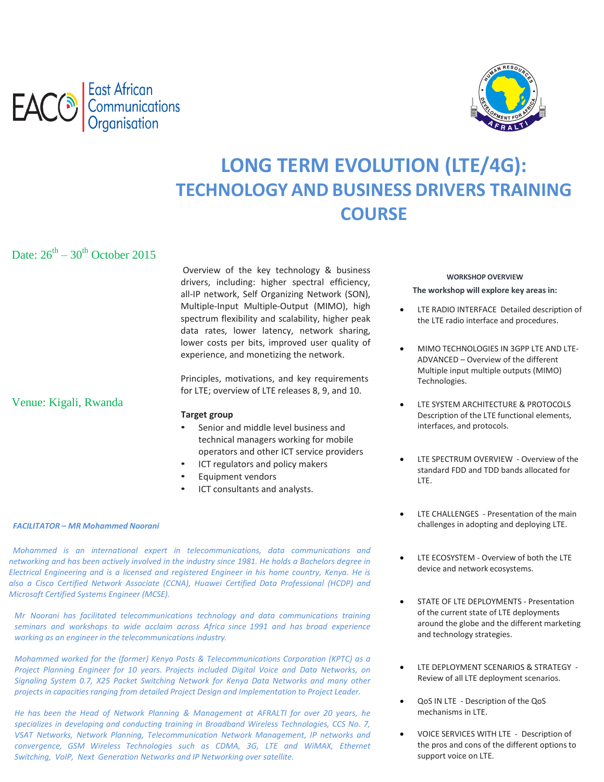



# **LONG TERM EVOLUTION (LTE/4G): TECHNOLOGY AND BUSINESS DRIVERS TRAINING COURSE**

Date:  $26^{th} - 30^{th}$  October 2015

Overview of the key technology & business drivers, including: higher spectral efficiency, all‐IP network, Self Organizing Network (SON), Multiple‐Input Multiple‐Output (MIMO), high spectrum flexibility and scalability, higher peak data rates, lower latency, network sharing, lower costs per bits, improved user quality of experience, and monetizing the network.

Principles, motivations, and key requirements for LTE; overview of LTE releases 8, 9, and 10.

#### **Target group**

- Senior and middle level business and technical managers working for mobile operators and other ICT service providers
- ICT regulators and policy makers
- Equipment vendors
- ICT consultants and analysts.

#### *FACILITATOR – MR Mohammed Noorani*

Venue: Kigali, Rwanda

 *Mohammed is an international expert in telecommunications, data communications and networking and has been actively involved in the industry since 1981. He holds a Bachelors degree in Electrical Engineering and is a licensed and registered Engineer in his home country, Kenya. He is also a Cisco Certified Network Associate (CCNA), Huawei Certified Data Professional (HCDP) and Microsoft Certified Systems Engineer (MCSE).*

*Mr Noorani has facilitated telecommunications technology and data communications training seminars and workshops to wide acclaim across Africa since 1991 and has broad experience working as an engineer in the telecommunications industry.*

*Mohammed worked for the (former) Kenya Posts & Telecommunications Corporation (KPTC) as a Project Planning Engineer for 10 years. Projects included Digital Voice and Data Networks, on Signaling System 0.7, X25 Packet Switching Network for Kenya Data Networks and many other projects in capacities ranging from detailed Project Design and Implementation to Project Leader.*

*He has been the Head of Network Planning & Management at AFRALTI for over 20 years, he specializes in developing and conducting training in Broadband Wireless Technologies, CCS No. 7, VSAT Networks, Network Planning, Telecommunication Network Management, IP networks and convergence, GSM Wireless Technologies such as CDMA, 3G, LTE and WiMAX, Ethernet Switching, VoIP, Next Generation Networks and IP Networking over satellite.*

#### **WORKSHOP OVERVIEW**

**The workshop will explore key areas in:**

- LTE RADIO INTERFACE Detailed description of the LTE radio interface and procedures.
- MIMO TECHNOLOGIES IN 3GPP LTE AND LTE‐ ADVANCED – Overview of the different Multiple input multiple outputs (MIMO) Technologies.
- LTE SYSTEM ARCHITECTURE & PROTOCOLS Description of the LTE functional elements, interfaces, and protocols.
- LTE SPECTRUM OVERVIEW ‐ Overview of the standard FDD and TDD bands allocated for LTE.
- LTE CHALLENGES ‐ Presentation of the main challenges in adopting and deploying LTE.
- LTE ECOSYSTEM ‐ Overview of both the LTE device and network ecosystems.
- **•** STATE OF LTE DEPLOYMENTS Presentation of the current state of LTE deployments around the globe and the different marketing and technology strategies.
- LTE DEPLOYMENT SCENARIOS & STRATEGY ‐ Review of all LTE deployment scenarios.
- QoS IN LTE ‐ Description of the QoS mechanisms in LTE.
- VOICE SERVICES WITH LTE ‐ Description of the pros and cons of the different options to support voice on LTE.